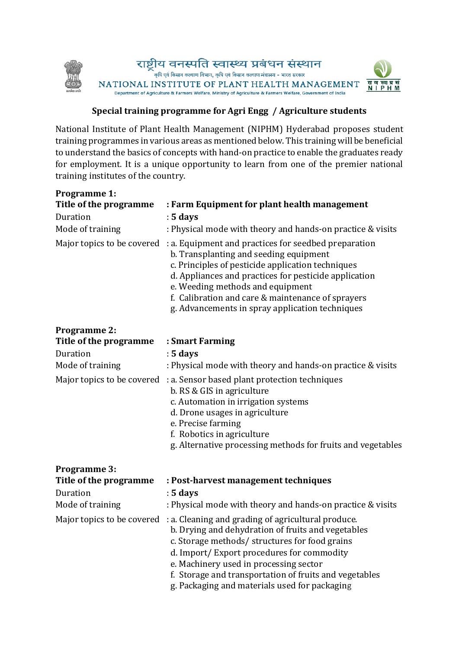

## **Special training programme for Agri Engg / Agriculture students**

National Institute of Plant Health Management (NIPHM) Hyderabad proposes student training programmes in various areas as mentioned below. This training will be beneficial to understand the basics of concepts with hand-on practice to enable the graduates ready for employment. It is a unique opportunity to learn from one of the premier national training institutes of the country.

| <b>Programme 1:</b>          |                                                                                                                                                                                                                                                                                                                                                              |
|------------------------------|--------------------------------------------------------------------------------------------------------------------------------------------------------------------------------------------------------------------------------------------------------------------------------------------------------------------------------------------------------------|
| Title of the programme       | : Farm Equipment for plant health management                                                                                                                                                                                                                                                                                                                 |
| Duration<br>Mode of training | $: 5$ days                                                                                                                                                                                                                                                                                                                                                   |
|                              | : Physical mode with theory and hands-on practice & visits                                                                                                                                                                                                                                                                                                   |
| Major topics to be covered   | : a. Equipment and practices for seedbed preparation<br>b. Transplanting and seeding equipment<br>c. Principles of pesticide application techniques<br>d. Appliances and practices for pesticide application<br>e. Weeding methods and equipment<br>f. Calibration and care & maintenance of sprayers<br>g. Advancements in spray application techniques     |
| <b>Programme 2:</b>          |                                                                                                                                                                                                                                                                                                                                                              |
| Title of the programme       | : Smart Farming                                                                                                                                                                                                                                                                                                                                              |
| Duration                     | $: 5$ days                                                                                                                                                                                                                                                                                                                                                   |
| Mode of training             | : Physical mode with theory and hands-on practice & visits                                                                                                                                                                                                                                                                                                   |
| Major topics to be covered   | : a. Sensor based plant protection techniques<br>b. RS & GIS in agriculture<br>c. Automation in irrigation systems<br>d. Drone usages in agriculture<br>e. Precise farming<br>f. Robotics in agriculture<br>g. Alternative processing methods for fruits and vegetables                                                                                      |
| <b>Programme 3:</b>          |                                                                                                                                                                                                                                                                                                                                                              |
| Title of the programme       | : Post-harvest management techniques                                                                                                                                                                                                                                                                                                                         |
| Duration                     | $: 5$ days                                                                                                                                                                                                                                                                                                                                                   |
| Mode of training             | : Physical mode with theory and hands-on practice & visits                                                                                                                                                                                                                                                                                                   |
| Major topics to be covered   | : a. Cleaning and grading of agricultural produce.<br>b. Drying and dehydration of fruits and vegetables<br>c. Storage methods/ structures for food grains<br>d. Import/Export procedures for commodity<br>e. Machinery used in processing sector<br>f. Storage and transportation of fruits and vegetables<br>g. Packaging and materials used for packaging |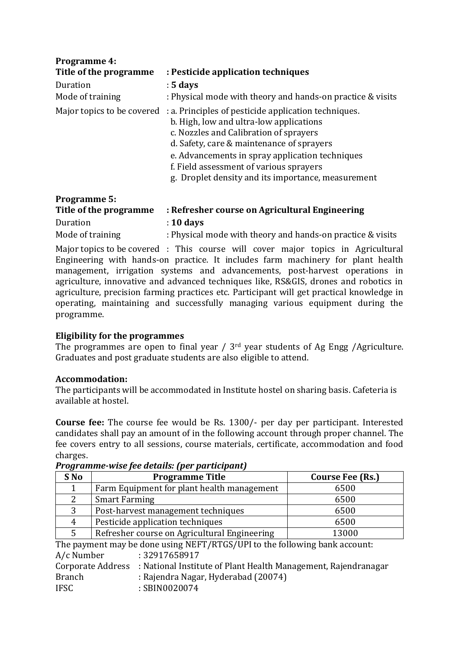| <b>Programme 4:</b><br>Title of the programme | : Pesticide application techniques                                                                                                                                                                                                                                                                                                                                    |
|-----------------------------------------------|-----------------------------------------------------------------------------------------------------------------------------------------------------------------------------------------------------------------------------------------------------------------------------------------------------------------------------------------------------------------------|
| Duration<br>Mode of training                  | $: 5$ days<br>: Physical mode with theory and hands-on practice & visits                                                                                                                                                                                                                                                                                              |
|                                               | Major topics to be covered : a. Principles of pesticide application techniques.<br>b. High, low and ultra-low applications<br>c. Nozzles and Calibration of sprayers<br>d. Safety, care & maintenance of sprayers<br>e. Advancements in spray application techniques<br>f. Field assessment of various sprayers<br>g. Droplet density and its importance, measurement |

| <b>Programme 5:</b>    |                                                            |  |
|------------------------|------------------------------------------------------------|--|
| Title of the programme | : Refresher course on Agricultural Engineering             |  |
| Duration               | $: 10$ days                                                |  |
| Mode of training       | : Physical mode with theory and hands-on practice & visits |  |

Major topics to be covered : This course will cover major topics in Agricultural Engineering with hands-on practice. It includes farm machinery for plant health management, irrigation systems and advancements, post-harvest operations in agriculture, innovative and advanced techniques like, RS&GIS, drones and robotics in agriculture, precision farming practices etc. Participant will get practical knowledge in operating, maintaining and successfully managing various equipment during the programme.

## **Eligibility for the programmes**

The programmes are open to final year /  $3<sup>rd</sup>$  year students of Ag Engg /Agriculture. Graduates and post graduate students are also eligible to attend.

## **Accommodation:**

The participants will be accommodated in Institute hostel on sharing basis. Cafeteria is available at hostel.

**Course fee:** The course fee would be Rs. 1300/- per day per participant. Interested candidates shall pay an amount of in the following account through proper channel. The fee covers entry to all sessions, course materials, certificate, accommodation and food charges.

| S No | <b>Programme Title</b>                       | Course Fee (Rs.) |
|------|----------------------------------------------|------------------|
|      | Farm Equipment for plant health management   | 6500             |
|      | <b>Smart Farming</b>                         | 6500             |
| 3    | Post-harvest management techniques           | 6500             |
| 4    | Pesticide application techniques             | 6500             |
|      | Refresher course on Agricultural Engineering | 13000            |

*Programme-wise fee details: (per participant)*

The payment may be done using NEFT/RTGS/UPI to the following bank account: A/c Number : 32917658917 Corporate Address : National Institute of Plant Health Management, Rajendranagar Branch : Rajendra Nagar, Hyderabad (20074) IFSC : SBIN0020074